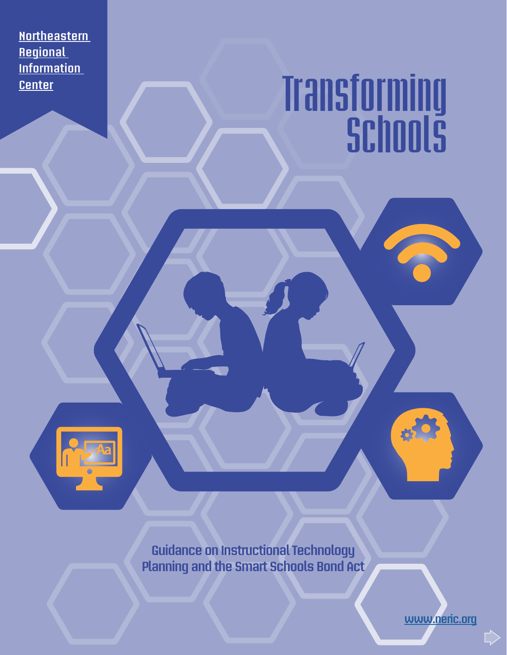**[Northeastern](http://www.neric.org)  [Regional](http://www.neric.org)  Information [Center](http://www.neric.org)**

# **Transforming Schools**



**Guidance on Instructional Technology Planning and the Smart Schools Bond Act**

**[www.neric.org](http://www.neric.org)**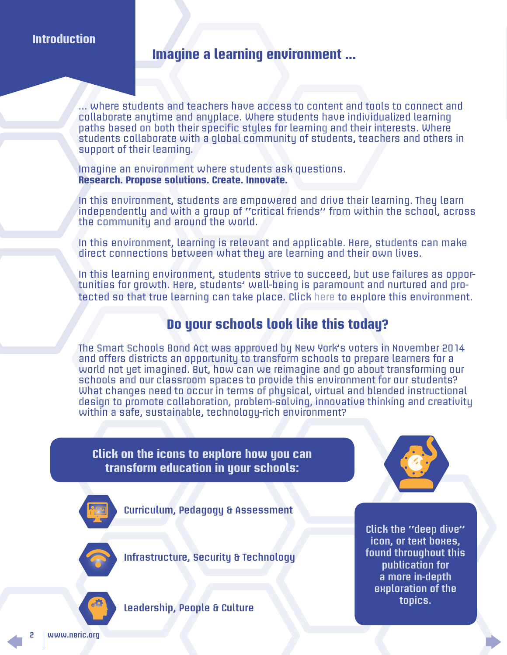#### **Introduction**

## **Imagine a learning environment ...**

... where students and teachers have access to content and tools to connect and collaborate anytime and anyplace. Where students have individualized learning paths based on both their specific styles for learning and their interests. Where students collaborate with a global community of students, teachers and others in support of their learning.

Imagine an environment where students ask questions. **Research. Propose solutions. Create. Innovate.** 

In this environment, students are empowered and drive their learning. They learn independently and with a group of "critical friends" from within the school, across the community and around the world.

In this environment, learning is relevant and applicable. Here, students can make direct connections between what they are learning and their own lives.

In this learning environment, students strive to succeed, but use failures as opportunities for growth. Here, students' well-being is paramount and nurtured and protected so that true learning can take place. Click here to explore this environment.

## **Do your schools look like this today?**

The Smart Schools Bond Act was approved by New York's voters in November 2014 and offers districts an opportunity to transform schools to prepare learners for a world not yet imagined. But, how can we reimagine and go about transforming our schools and our classroom spaces to provide this environment for our students? What changes need to occur in terms of physical, virtual and blended instructional design to promote collaboration, problem-solving, innovative thinking and creativity within a safe, sustainable, technology-rich environment?

**Click on the icons to explore how you can transform education in your schools:**



**Curriculum, Pedagogy & Assessment**



**Infrastructure, Security & Technology**



**Leadership, People & Culture**

**Click the "deep dive" icon, or text boxes, found throughout this publication for a more in-depth exploration of the topics.**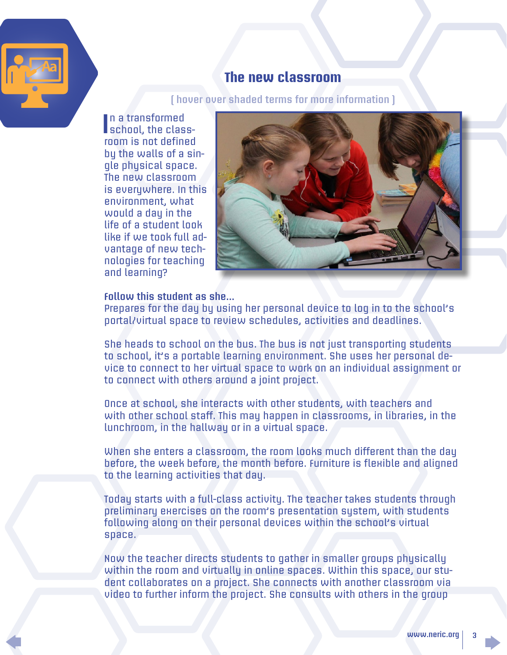

## **The new classroom**

**( hover over shaded terms for more information )**

**I**n a transformed<br>**I** school, the clase school, the classroom is not defined by the walls of a single physical space. The new classroom is everywhere. In this environment, what would a day in the life of a student look like if we took full advantage of new technologies for teaching and learning?



#### **Follow this student as she...**

Prepares for the day by using her personal device to log in to the school's portal/virtual space to review schedules, activities and deadlines.

She heads to school on the bus. The bus is not just transporting students to school, it's a portable learning environment. She uses her personal device to connect to her virtual space to work on an individual assignment or to connect with others around a joint project.

Once at school, she interacts with other students, with teachers and with other school staff. This may happen in classrooms, in libraries, in the lunchroom, in the hallway or in a virtual space.

When she enters a classroom, the room looks much different than the day before, the week before, the month before. Furniture is flexible and aligned to the learning activities that day.

Today starts with a full-class activity. The teacher takes students through preliminary exercises on the room's presentation system, with students following along on their personal devices within the school's virtual space.

Now the teacher directs students to gather in smaller groups physically within the room and virtually in online spaces. Within this space, our student collaborates on a project. She connects with another classroom via video to further inform the project. She consults with others in the group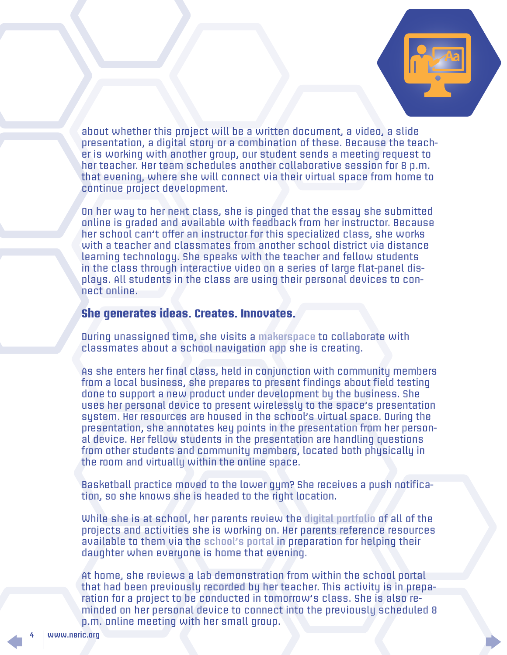continue project devi

learning technology. nect online.

#### **She generates idea**

classmates about a

often novices get help from other users. The presentation are handling questions in the presentations of the p Makerspaces provide tools and munity environment  $-$  a librar center, private organization or  $\epsilon$ people to gather to share resour edge, work on projects, networ

An educational e-portfolio is a digital collection of student work that proves mastery of a set of skills, applied knowledge and attitudes. While portfolios have long been used as collection and assessment tools in education, current web-based technologies have made it easier to build, maintain, share and archive student learning in digital forms. Often, novices get help from other users.

**Using digital/e-portfolios in the classroom:**

- about whether this  $\mathbf{p}$   $\bullet$  makes classroom learning more accessible to presentation, a digital story or a component of the teach-story of the teach-story of the teachers and administrators.
- er is working with an our persons, codensity and dammediately.<br>her togeber, Uer toor: Our Provides a window into student learning. her teacher. Her team schedules and while while schedule collining.
- net coconon home count of the showcases both student achievement and student that evening, where learning over time.
- On her way to her net what can be collected from traditional letter grades. • Provides additional assessment information beyond
- online is graded and  $\blacksquare$   $\blacksquare$  Provides students with a vehicle for regular feedback her school can't offer and dialogue with their teachers. The works of the works o
- with a teacher and  ${\bf c}$   $\quad \bullet$  Allows students to think critically and reflect upon their work.
- in the class through  $\blacksquare$  . Enables teachers to develop a picture of the learning plays. All students in the construction of the con-con-presence of the commitmore attention.
- During unassigned ti**read parents, and students and extends academic lessons** • Increases student engagement, promotes a continu ing conversation about learning between teachers, beyond school walls.
- ces provide tools ant reand kinds of intelligence that often are not measured i vironment — a librari business, she prepares to present finding about field tests. • Offers opportunities for students to showcase skills
- vate organization or  $\epsilon$   $\qquad$  provides opportunities to teach students such gather to share resol and technological skills as how to import pictures, resize k on projects, networ images, take screen shots, or use a digital or video. advisors may be available sometime, americation from the series of the time of the time of the time, and the t camera.

from other students and community members, located both physically in Source: Educational Technology and Mobile Learning the room and virtually within the online space.

Basketball practice moved to the lower gym? She receives a push notification, so she knows she is headed to the right location.

While she is at school, her parents review the **digital portfolio** of all of the projects and activities she is working on. Her parents reference resources available to them via the **school's portal** in preparation for helping their daughter when everyone is home that evening.

#### An Internet site providing access to other sites.

Im within the school portal  $\tt ther.$  This activity is in preparation for a project to be conducted in tomorrow's class. She is also reminded on her personal device to connect into the previously scheduled 8 p.m. online meeting with her small group.

**4 www.neric.org**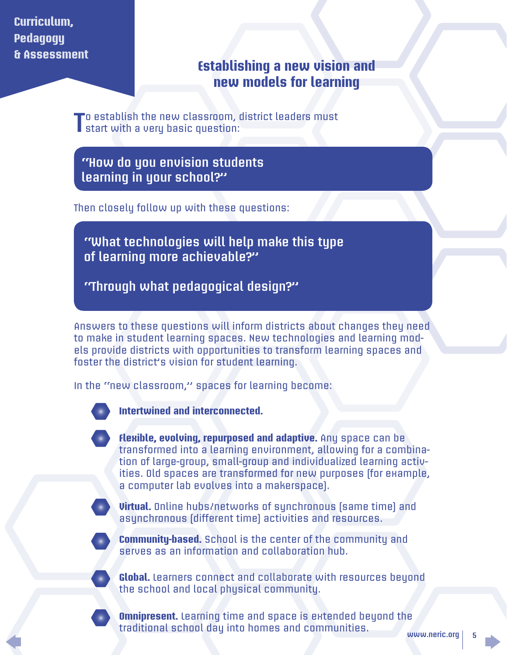## **Curriculum, Pedagogy & Assessment**

## **Establishing a new vision and new models for learning**

**T** o establish the new classroom,<br>Start with a very basic question:  $\overline{\phantom{a}}$  constablish the new classroom, district leaders must

**"How do you envision students learning in your school?"**

Then closely follow up with these questions:

**"What technologies will help make this type of learning more achievable?"** 

**"Through what pedagogical design?"** 

Answers to these questions will inform districts about changes they need to make in student learning spaces. New technologies and learning models provide districts with opportunities to transform learning spaces and foster the district's vision for student learning.

In the "new classroom," spaces for learning become:

**Intertwined and interconnected.** 

- **Flexible, evolving, repurposed and adaptive.** Any space can be transformed into a learning environment, allowing for a combination of large-group, small-group and individualized learning activities. Old spaces are transformed for new purposes (for example, a computer lab evolves into a makerspace).
	- **Virtual.** Online hubs/networks of synchronous (same time) and asynchronous (different time) activities and resources.
- **Community-based.** School is the center of the community and serves as an information and collaboration hub.
- **Global.** Learners connect and collaborate with resources beyond the school and local physical community.
- **Omnipresent.** Learning time and space is extended beyond the traditional school day into homes and communities.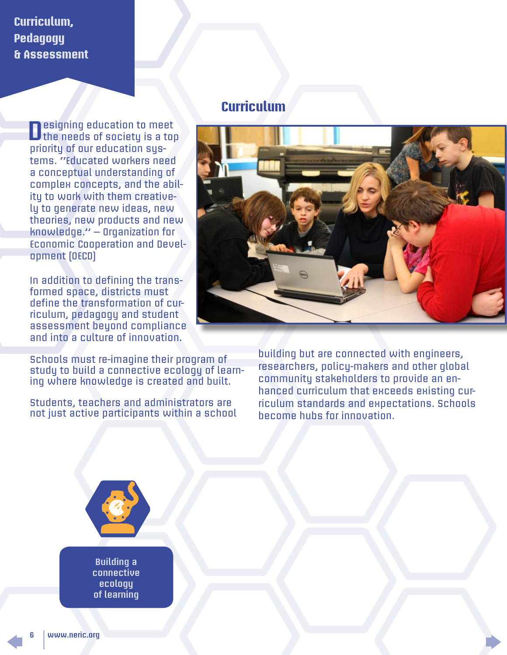#### **Curriculum, Pedagogy & Assessment**

**D**esigning education to meet<br>Uthe needs of society is a top priority of our education systems. "Educated workers need a conceptual understanding of complex concepts, and the ability to work with them creatively to generate new ideas, new theories, new products and new knowledge." – Organization for Economic Cooperation and Development (OECD)

In addition to defining the transformed space, districts must define the transformation of curriculum, pedagogy and student assessment beyond compliance and into a culture of innovation.

Schools must re-imagine their program of study to build a connective ecology of learning where knowledge is created and built.

Students, teachers and administrators are not just active participants within a school

#### **Curriculum**



building but are connected with engineers, researchers, policy-makers and other global community stakeholders to provide an enhanced curriculum that exceeds existing curriculum standards and expectations. Schools become hubs for innovation.



- Individuals are simultaneously involved in many settings.
- Individuals create learning contexts for themselves within and across subjects.
- The boundaries between settings can be permeable.
- Interest-driven activities can span contextual bound aries and be self-sustaining given adequate time, freedom and resources.

(Barron, 2006, pp. 199‐201). Barron, B. (2006). Interest and self-sustained learning as catalysts of development: A learning ecologies perspective Human Development, 49, 193-224.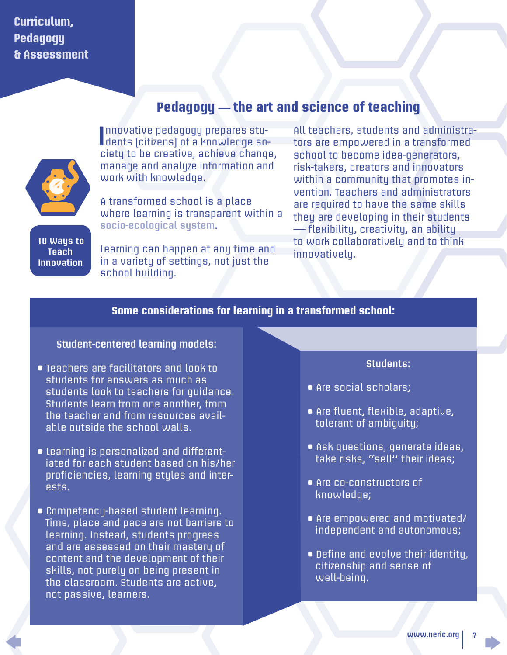## **Curriculum, Pedagogy & Assessment**

## **Pedagogy** — **the art and science of teaching**



**l**<br>dents<br>ciety to dents **Completive and the complex system with** ciety to continuous adaptation. The continuous adaptation. manag

work v**ich knowledge.** 

Innovati

A transformed school is a place where learning is transparent within a **socio-ecological system.**

Learning can happen at any time and in a variety of settings, not just the

ents and administraed in a transformed idea-generators,  $rs$  and innovators

**10 Ways to Teach Innovation**

#### **Some considerations for learning in a transformed school:**

#### **Student-centered learning models:**

school building.

- Teachers are facilitators and look to students for answers as much as students look to teachers for guidance. Students learn from one another, from the teacher and from resources avail able outside the school walls.
- Learning is personalized and different iated for each student based on his/her proficiencies, learning styles and inter ests.
- Competency-based student learning. Time, place and pace are not barriers to learning. Instead, students progress and are assessed on their mastery of content and the development of their skills, not purely on being present in the classroom. Students are active, not passive, learners.

#### **Students:**

within a community that promotes invention. Teachers and administrators are required to have the same skills they are developing in their students — flexibility, creativity, an ability to work collaboratively and to think

• Are social scholars;

innovatively.

- Are fluent, flexible, adaptive, tolerant of ambiguity;
- Ask questions, generate ideas, take risks, "sell" their ideas;
- Are co-constructors of knowledge;
- Are empowered and motivated/ independent and autonomous;
- Define and evolve their identity, citizenship and sense of well-being.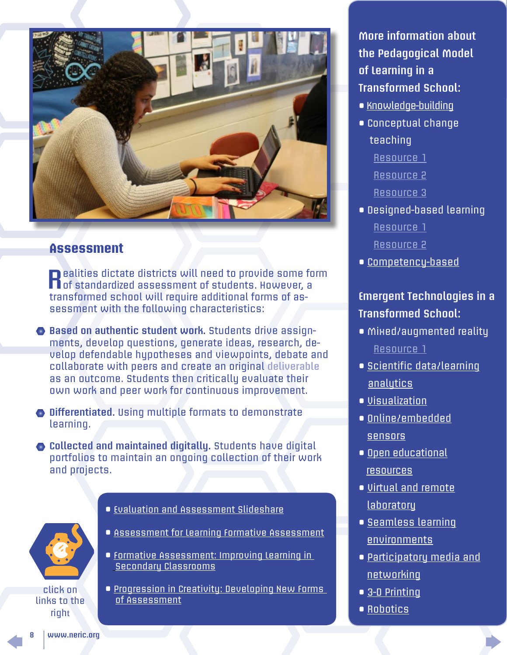

#### **Assessment**

**Realities dictate districts will need to provide some form**<br>**of standardized assessment of students. However, a** transformed school will require additional forms of as-

 $\begin{bmatrix} \text{range} \end{bmatrix}$  teristics:

produced as a result of a project. Stepts drive assigns, research, de-

velop defendable hypotheses and viewpoints, debate and collaborate with peers and create an original **deliverable** as an outcome. Students then critically evaluate their own work and peer work for continuous improvement.

**Differentiated.** Using multiple formats to demonstrate learning.

**Collected and maintained digitally.** Students have digital portfolios to maintain an ongoing collection of their work and projects.



click on links to the right

- [Evaluation and Assessment Slideshare](http://www.slideshare.net/OECDEDU/oecd-review-on-evaluation-and-assessment-frameworks-for-improving-school-outcomes-synthesis-report-what-have-we-learned)
- [Assessment for Learning Formative Assessment](http://www.oecd.org/site/educeri21st/40600533.pdf)
- **Formative Assessment: Improving Learning in**  [Secondary Classrooms](http://www.oecd.org/edu/ceri/35661078.pdf)
- [Progression in Creativity: Developing New Forms](http://www.oecd.org/edu/ceri/50153675.pdf)   [of Assessment](http://www.oecd.org/edu/ceri/50153675.pdf)

**More information about the Pedagogical Model of Learning in a Transformed School:**

- • [Knowledge-building](http://www.knowledge-building.org)
- Conceptual change teaching

[Resource 1](https://www.narst.org/publications/research/concept.cfm)

[Resource 2](http://cosmos.phy.tufts.edu/~zirbel/ScienceEd/Teaching-for-Conceptual-Change.pdf)

[Resource 3](http://www.academia.edu/4947695/Strategies_for_Facilitating_Conceptual_Change_in_School_Physics)

- Designed-based learning [Resource 1](https://gse-it.stanford.edu/research/project/dbl) [Resource 2](http://www.ascd.org/publications/researchbrief/v5n06/toc.aspx)
- [Competency-based](http://www.ed.gov/oii-news/competency-based-learning-or-personalized-learning)

## **Emergent Technologies in a Transformed School:**

- Mixed/augmented reality [Resource 1](http://augmentedrealityeducation.blogspot.com/)
- [Scientific data/learning](http://tech.ed.gov/wp-content/uploads/2014/03/edm-la-brief.pdf) **analytics**
- [Visualization](http://www.cmu.edu/teaching/technology/tools/informationvisualization/)
- [Online/embedded](https://books.google.com/books?id=0MqeBQAAQBAJ&pg=PA184&lpg=PA184&dq=Online+embedded+sensors+in+education&source=bl&ots=1mJP2eN6BQ&sig=B16jO6ijAPDTp5mCY2gHj9E8C3g&hl=en&sa=X&ei=tmcxVfDLI8GqyATa_oCgCQ&ved=0CDgQ6AEwAw#v=onepage&q=Online%20embedded%20sensors%20in%20education&f=false)  [sensors](https://books.google.com/books?id=0MqeBQAAQBAJ&pg=PA184&lpg=PA184&dq=Online+embedded+sensors+in+education&source=bl&ots=1mJP2eN6BQ&sig=B16jO6ijAPDTp5mCY2gHj9E8C3g&hl=en&sa=X&ei=tmcxVfDLI8GqyATa_oCgCQ&ved=0CDgQ6AEwAw#v=onepage&q=Online%20embedded%20sensors%20in%20education&f=false)
- [Open educational](https://www.oercommons.org/)  [resources](https://www.oercommons.org/)
- [Virtual and remote](http://k12.wiki.nmc.org/Virtual+and+Remote+Laboratories) **laboratory**
- [Seamless learning](http://www.academia.edu/2647326/Towards_A_Framework_for_Seamless_Learning_Environments)  [environments](http://www.academia.edu/2647326/Towards_A_Framework_for_Seamless_Learning_Environments)
- [Participatory media and](https://www.iste.org/explore/articleDetail?articleid=139)  [networking](https://www.iste.org/explore/articleDetail?articleid=139)
- [3-D Printing](https://www.iste.org/explore/articleDetail?articleid=251&category=Toolbox&article=10-ways-to-get-started-with-3D-printing)
- [Robotics](http://robotics.nasa.gov/edu/matrix.php)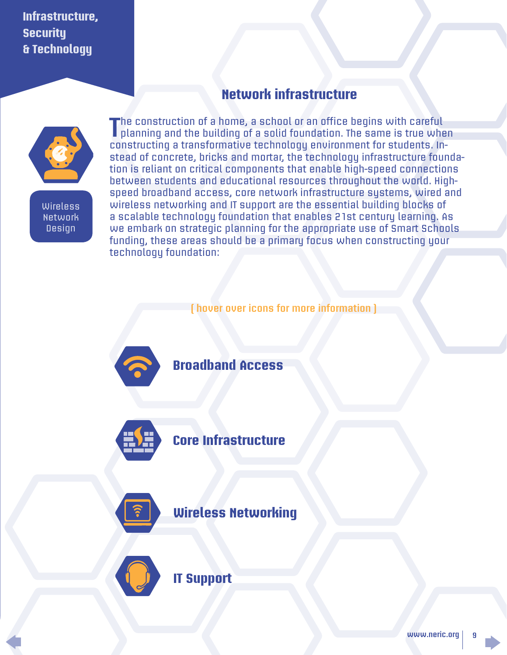**Infrastructure, Security & Technology**

## **Network infrastructure**



Wireless Network Design

The construction of a home, a school or an office begins with careful<br>I planning and the building of a solid foundation. The same is true when The construction of a home, a school or an office begins with careful constructing a transformative technology environment for students. Instead of concrete, bricks and mortar, the technology infrastructure foundation is reliant on critical components that enable high-speed connections between students and educational resources throughout the world. Highspeed broadband access, core network infrastructure systems, wired and wireless networking and IT support are the essential building blocks of a scalable technology foundation that enables 21st century learning. As we embark on strategic planning for the appropriate use of Smart Schools funding, these areas should be a primary focus when constructing your technology foundation:



**( hover over icons for more information )** to expand educational opportuni-High-speed Internet connectivity ties and access to learning.

**Broadba** switches and routers, form the backbone of both Scalable core equipment, such as firewalls, wired and wireless networks. High-performing core technology facilitates the efficient routing of information between internal users and external resources and this equipment is vital to sustain the free flow of information.

**Wireless Networking** for the first time in our history. With emerging ror the mot time in our motorg: with emerging<br>Wi-Fi standards promising performance levels at wr it standards profitionity performance tevets at<br>gigabit speeds, a robust, responsive and reliable gigable opeeas, a robase, responsive and retiable<br>wireless notwork is erities! to feellitete essen wireless network is critical to facilitate seam-<br>Isse sesses students and faculty. A reliable, responsive sup-Has become the preferred platform to connect students with information in the 21st century. Cisco Systems, Inc., a leading provider of wireless technology, reports traffic from wireless and mobile devices has recently exceed wired traffic less access.

> port system is as crucial as the physical infrastructure in providing the framework for a transformative technology-rich learning environment.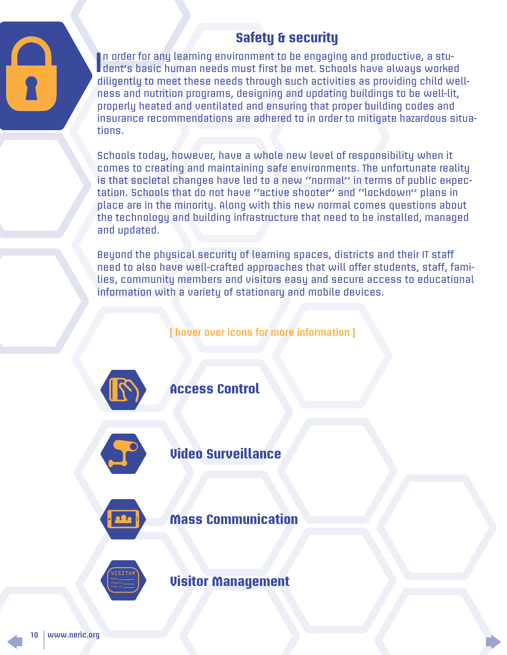## **Safety & security**

**I**n order for any learning environment to be engaging and productive, a student's basic human needs must first be met. Schools have always worked n order for any learning environment to be engaging and productive, a studiligently to meet these needs through such activities as providing child wellness and nutrition programs, designing and updating buildings to be well-lit, properly heated and ventilated and ensuring that proper building codes and insurance recommendations are adhered to in order to mitigate hazardous situations.

Schools today, however, have a whole new level of responsibility when it comes to creating and maintaining safe environments. The unfortunate reality is that societal changes have led to a new "normal" in terms of public expectation. Schools that do not have "active shooter" and "lockdown" plans in place are in the minority. Along with this new normal comes questions about the technology and building infrastructure that need to be installed, managed and updated.

Beyond the physical security of learning spaces, districts and their IT staff need to also have well-crafted approaches that will offer students, staff, families, community members and visitors easy and secure access to educational information with a varietu



**( hover over icons for more information )** access control has been used for other purposes. measure or security. Headers are also being placel<br>on classroom doors to log entry. The reports generan etassicom asers to tog emag. The reports gener<br>ated from the "swipe" of the security card are later atod nom the Towipe Tor the Booding bard are to<br>USPd for recording attendance Opportunity Act (HEOA) of 2008 relates to emergency sech as storage and printing areas for tools, hotwom<br>centers and business office filing rooms, as an extra eenters and sasmess onnee mang rooms; as an entit<br>measure of security. Readers are also being placed used for recording attendance. The station of station  $\mathbb{R}^n$ Access control systems serve as the first measure of security by determining who can automatically enter a district's buildings. Since its inception, Proximity readers are placed near sensitive areas, such as storage and printing areas for tests, network

> of bounds if they believe they will likely be caught. However, should an event occur, the taped video will help identify and resolve issues as they arise.

**Visitor M** ment confirms the individual's identification and com-**Mass Co**ndozens of individuals visit a building on any given day. The process of greeting, registering and handling members of groomg, regreemigence community members of emergency of  $\sim$ Managing and monitoring these individuals can be  $\overline{\phantom{a}}$ difficult. An effective visitor management system can assist by monitoring who each visitor is, who they or attendance calls. came to see, when they are on site and what areas they are authorized to enter. Effective visitor managepiles other relevant information, usually, by scanning a driver's license. This information is then checked against national and local databases for potential security problems.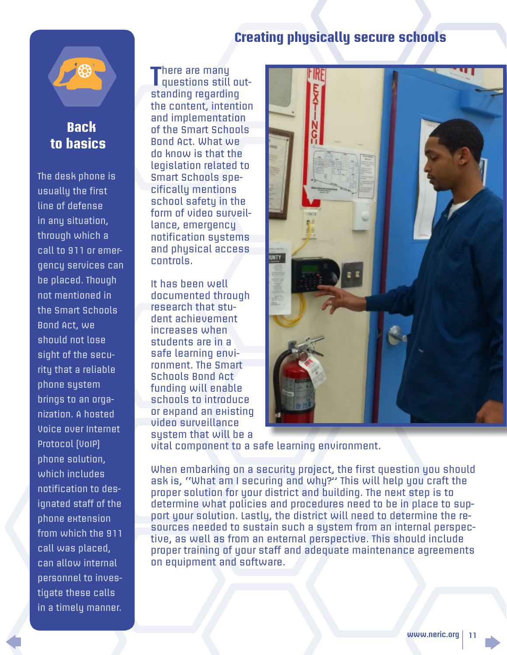## **Creating physically secure schools**

## **Back to basics**

The desk phone is usually the first line of defense in any situation, through which a call to 911 or emergency services can be placed. Though not mentioned in the Smart Schools Bond Act, we should not lose sight of the security that a reliable phone system brings to an organization. A hosted Voice over Internet Protocol (VoIP) phone solution, which includes notification to designated staff of the phone extension from which the 911 call was placed, can allow internal personnel to investigate these calls in a timely manner.

**T**here are many<br>questions still outhere are many standing regarding the content, intention and implementation of the Smart Schools Bond Act. What we do know is that the legislation related to Smart Schools specifically mentions school safety in the form of video surveillance, emergency notification systems and physical access controls.

It has been well documented through research that student achievement increases when students are in a safe learning environment. The Smart Schools Bond Act funding will enable schools to introduce or expand an existing video surveillance sustem that will be a



vital component to a safe learning environment.

When embarking on a security project, the first question you should ask is, "What am I securing and why?" This will help you craft the proper solution for your district and building. The next step is to determine what policies and procedures need to be in place to support your solution. Lastly, the district will need to determine the resources needed to sustain such a system from an internal perspective, as well as from an external perspective. This should include proper training of your staff and adequate maintenance agreements on equipment and software.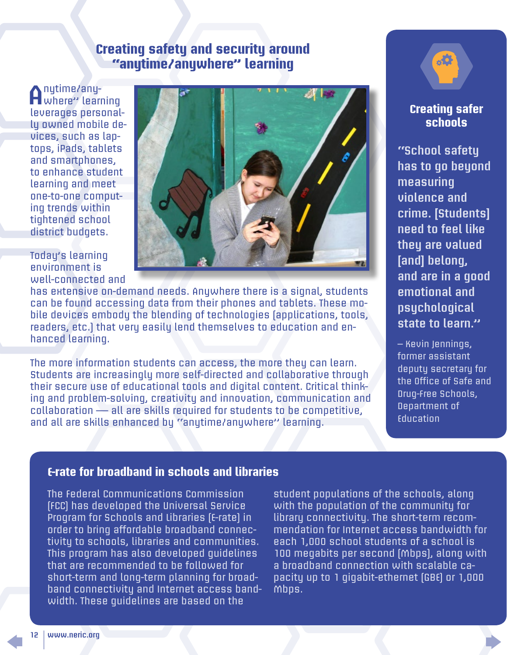## **Creating safety and security around "anytime/anywhere" learning**

**A**nytime/any-where" learning leverages personally owned mobile devices, such as laptops, iPads, tablets and smartphones, to enhance student learning and meet one-to-one computing trends within tightened school district budgets.

Today's learning environment is well-connected and



has extensive on-demand needs. Anywhere there is a signal, students can be found accessing data from their phones and tablets. These mobile devices embody the blending of technologies (applications, tools, readers, etc.) that very easily lend themselves to education and enhanced learning.

The more information students can access, the more they can learn. Students are increasingly more self-directed and collaborative through their secure use of educational tools and digital content. Critical thinking and problem-solving, creativity and innovation, communication and collaboration — all are skills required for students to be competitive, and all are skills enhanced by "anytime/anywhere" learning.

**Creating safer schools** 

**"School safety has to go beyond measuring violence and crime. [Students] need to feel like they are valued [and] belong, and are in a good emotional and psychological state to learn."**

-- Kevin Jennings, former assistant deputy secretary for the Office of Safe and Drug-Free Schools, Department of Education

## **E-rate for broadband in schools and libraries**

The Federal Communications Commission (FCC) has developed the Universal Service Program for Schools and Libraries (E-rate) in order to bring affordable broadband connectivity to schools, libraries and communities. This program has also developed guidelines that are recommended to be followed for short-term and long-term planning for broadband connectivity and Internet access bandwidth. These guidelines are based on the

student populations of the schools, along with the population of the community for library connectivity. The short-term recommendation for Internet access bandwidth for each 1,000 school students of a school is 100 megabits per second (Mbps), along with a broadband connection with scalable capacity up to 1 gigabit-ethernet (GBE) or 1,000 Mbps.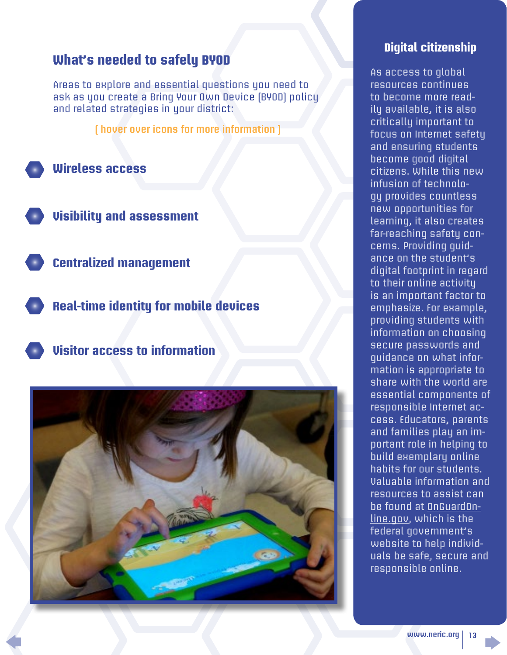## **What's needed to safely BYOD**



**Visibility and** 

**Centralize** 

Areas to expla<sup>r</sup> The mobile devices being used by stuask as you creatents function wirelessly. While there is and related stestill a need for hard-wired connections **F** *f* **h** ronments, as more students bring their in school offices, libraries and lab envimobile devices onto campus the need for wireless access will continue to increase.

> With all these mobile devices connecting at different schools and administrative locations, your district will need to know exactly who is on the network

Managing from a central location is the Are the people accessing the network best use of manpower and provides conaccessed to do some presence the processing control of access to applications only areas of the network that you want

**Real-time** work is important. Obtaining that knowl-Knowing who and what is on your netedge in real time is even more important. on the mobile device that could take

**Visitor acce** learning capabilities. down your network? ing students while also enhancing their

> Correspondingly, the more information families, community members and other school district stakeholders can access, the more informed and invested they will be in the education process.



#### **Digital citizenship**

As access to global resources continues to become more readily available, it is also critically important to focus on Internet safety and ensuring students become good digital citizens. While this new infusion of technology provides countless new opportunities for learning, it also creates far-reaching safety concerns. Providing guidance on the student's digital footprint in regard to their online activity is an important factor to emphasize. For example, providing students with information on choosing secure passwords and guidance on what information is appropriate to share with the world are essential components of responsible Internet access. Educators, parents and families play an important role in helping to build exemplary online habits for our students. Valuable information and resources to assist can be found at [OnGuardOn](http://www.OnGuardOnline.gov)[line.gov,](http://www.OnGuardOnline.gov) which is the federal government's website to help individuals be safe, secure and responsible online.

**www.neric.org 13**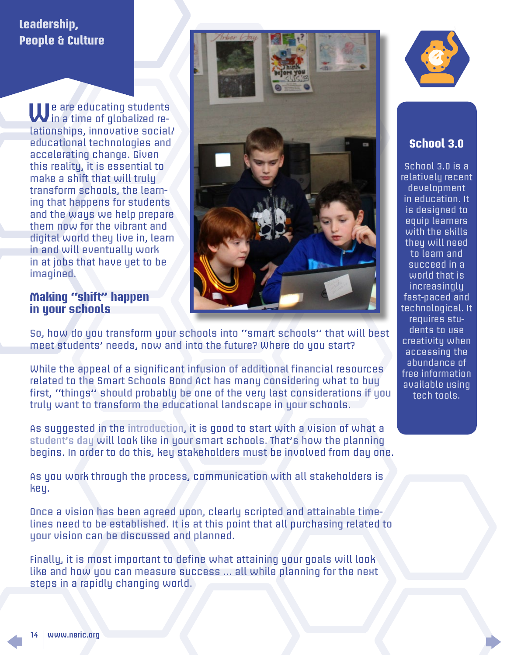## **Leadership, People & Culture**

**We are educating students** in a time of globalized relationships, innovative social/ educational technologies and accelerating change. Given this reality, it is essential to make a shift that will truly transform schools, the learning that happens for students and the ways we help prepare them now for the vibrant and digital world they live in, learn in and will eventually work in at jobs that have yet to be imagined.

#### **Making "shift" happen in your schools**





While the appeal of a significant infusion of additional financial resources related to the Smart Schools Bond Act has many considering what to buy first, "things" should probably be one of the very last considerations if you truly want to transform the educational landscape in your schools.

As suggested in the **introduction**, it is good to start with a vision of what a **student's day** will look like in your smart schools. That's how the planning begins. In order to do this, key stakeholders must be involved from day one.

As you work through the process, communication with all stakeholders is key.

Once a vision has been agreed upon, clearly scripted and attainable timelines need to be established. It is at this point that all purchasing related to your vision can be discussed and planned.

Finally, it is most important to define what attaining your goals will look like and how you can measure success … all while planning for the next steps in a rapidly changing world.



#### **School 3.0**

School 3.0 is a relatively recent development in education. It is designed to equip learners with the skills they will need to learn and succeed in a world that is increasingly fast-paced and technological. It requires students to use creativity when accessing the abundance of free information available using tech tools.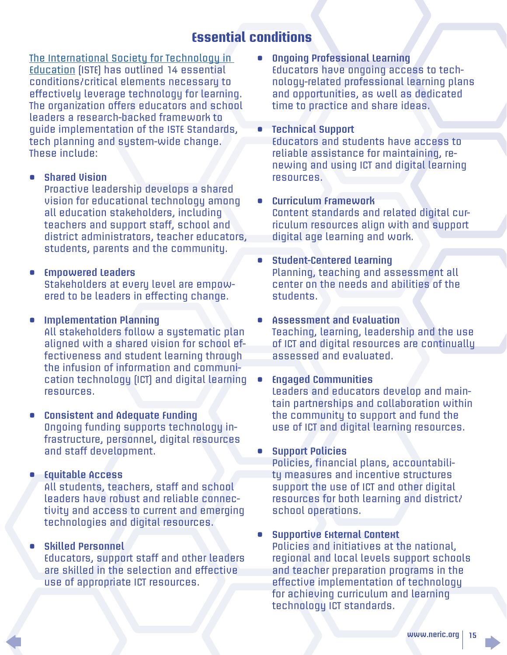## **Essential conditions**

[The International Society for Technology in](http://www.iste.org/standards/essential-conditions)  [Education](http://www.iste.org/standards/essential-conditions) (ISTE) has outlined 14 essential conditions/critical elements necessary to effectively leverage technology for learning. The organization offers educators and school leaders a research-backed framework to guide implementation of the ISTE Standards, tech planning and system-wide change. These include:

#### **• Shared Vision**

Proactive leadership develops a shared vision for educational technology among all education stakeholders, including teachers and support staff, school and district administrators, teacher educators, students, parents and the community.

**• Empowered Leaders**  Stakeholders at every level are empowered to be leaders in effecting change.

#### **• Implementation Planning**

All stakeholders follow a systematic plan aligned with a shared vision for school effectiveness and student learning through the infusion of information and communication technology (ICT) and digital learning resources.

**• Consistent and Adequate Funding** Ongoing funding supports technology infrastructure, personnel, digital resources and staff development.

#### **• Equitable Access**

All students, teachers, staff and school leaders have robust and reliable connectivity and access to current and emerging technologies and digital resources.

#### **• Skilled Personnel**

Educators, support staff and other leaders are skilled in the selection and effective use of appropriate ICT resources.

**• Ongoing Professional Learning** Educators have ongoing access to technology-related professional learning plans and opportunities, as well as dedicated time to practice and share ideas.

#### **• Technical Support**

Educators and students have access to reliable assistance for maintaining, renewing and using ICT and digital learning resources.

**• Curriculum Framework**

Content standards and related digital curriculum resources align with and support digital age learning and work.

#### **• Student-Centered Learning** Planning, teaching and assessment all center on the needs and abilities of the students.

**• Assessment and Evaluation** Teaching, learning, leadership and the use of ICT and digital resources are continually

## **• Engaged Communities**

assessed and evaluated.

Leaders and educators develop and maintain partnerships and collaboration within the community to support and fund the use of ICT and digital learning resources.

#### **• Support Policies**

Policies, financial plans, accountability measures and incentive structures support the use of ICT and other digital resources for both learning and district/ school operations.

#### **• Supportive External Context**

Policies and initiatives at the national, regional and local levels support schools and teacher preparation programs in the effective implementation of technology for achieving curriculum and learning technology ICT standards.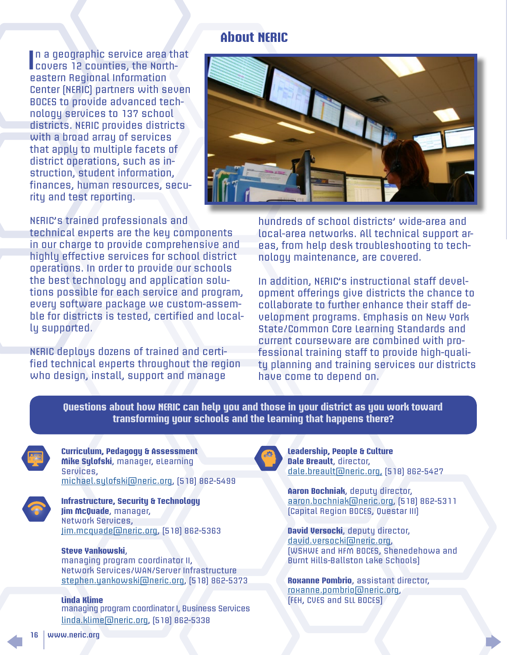#### **About NERIC**

**I**n a geographic service area the covers 12 counties, the Northn a geographic service area that eastern Regional Information Center (NERIC) partners with seven BOCES to provide advanced technology services to 137 school districts. NERIC provides districts with a broad array of services that apply to multiple facets of district operations, such as instruction, student information, finances, human resources, security and test reporting.



NERIC's trained professionals and technical experts are the key components in our charge to provide comprehensive and highly effective services for school district operations. In order to provide our schools the best technology and application solutions possible for each service and program, every software package we custom-assemble for districts is tested, certified and locally supported.

NERIC deploys dozens of trained and certified technical experts throughout the region who design, install, support and manage

hundreds of school districts' wide-area and local-area networks. All technical support areas, from help desk troubleshooting to technology maintenance, are covered.

In addition, NERIC's instructional staff development offerings give districts the chance to collaborate to further enhance their staff development programs. Emphasis on New York State/Common Core Learning Standards and current courseware are combined with professional training staff to provide high-quality planning and training services our districts have come to depend on.

**Questions about how NERIC can help you and those in your district as you work toward transforming your schools and the learning that happens there?** 



**Curriculum, Pedagogy & Assessment Mike Sylofski**, manager, eLearning Services, [michael.sylofski@neric.org,](mailto:michael.sylofski%40neric.org?subject=) (518) 862-5499



**Infrastructure, Security & Technology Jim McQuade**, manager, Network Services, [Jim.mcquade@neric.org](mailto:jim.mcquade%40neric.org?subject=), (518) 862-5363

#### **Steve Yankowski**,

managing program coordinator II, Network Services/WAN/Server Infrastructure [stephen.yankowski@neric.org](mailto:stephen.yankowski%40neric.org?subject=), (518) 862-5373

#### **Linda Klime**

managing program coordinator I, Business Services [linda.klime@neric.org,](mailto:linda.klime%40neric.org?subject=) (518) 862-5338



**Leadership, People & Culture Dale Breault**, director, [dale.breault@neric.org,](mailto:dale.breault%40neric.org?subject=) (518) 862-5427

**Aaron Bochniak**, deputy director, [aaron.bochniak@neric.org,](mailto:aaron.bochniak%40neric.org?subject=) (518) 862-5311 (Capital Region BOCES, Questar III)

**David Versocki**, deputy director, [david.versocki@neric.org,](mailto:david.versocki%40neric.org?subject=) (WSHWE and HFM BOCES, Shenedehowa and Burnt Hills-Ballston Lake Schools)

**Roxanne Pombrio**, assistant director, [roxanne.pombrio@neric.org,](mailto:roxanne.pombrio%40neric.org?subject=) (FEH, CVES and SLL BOCES)